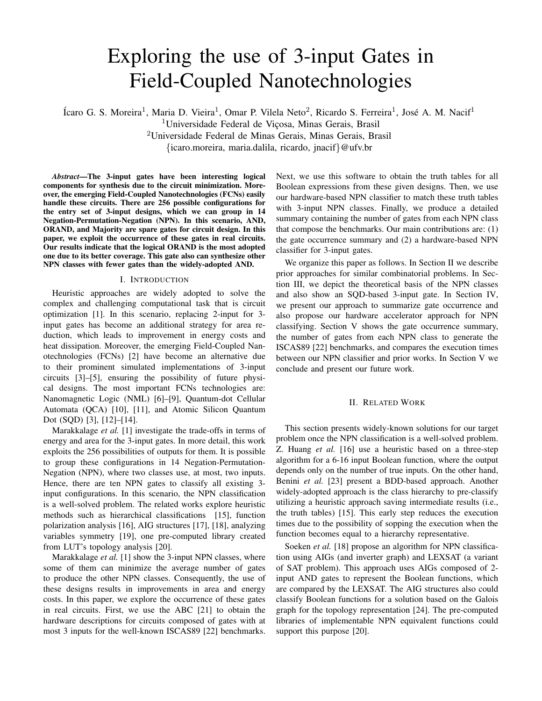# Exploring the use of 3-input Gates in Field-Coupled Nanotechnologies

Ícaro G. S. Moreira<sup>1</sup>, Maria D. Vieira<sup>1</sup>, Omar P. Vilela Neto<sup>2</sup>, Ricardo S. Ferreira<sup>1</sup>, José A. M. Nacif<sup>1</sup>

<sup>1</sup>Universidade Federal de Viçosa, Minas Gerais, Brasil

<sup>2</sup>Universidade Federal de Minas Gerais, Minas Gerais, Brasil

{icaro.moreira, maria.dalila, ricardo, jnacif}@ufv.br

*Abstract*—The 3-input gates have been interesting logical components for synthesis due to the circuit minimization. Moreover, the emerging Field-Coupled Nanotechnologies (FCNs) easily handle these circuits. There are 256 possible configurations for the entry set of 3-input designs, which we can group in 14 Negation-Permutation-Negation (NPN). In this scenario, AND, ORAND, and Majority are spare gates for circuit design. In this paper, we exploit the occurrence of these gates in real circuits. Our results indicate that the logical ORAND is the most adopted one due to its better coverage. This gate also can synthesize other NPN classes with fewer gates than the widely-adopted AND.

# I. INTRODUCTION

Heuristic approaches are widely adopted to solve the complex and challenging computational task that is circuit optimization [1]. In this scenario, replacing 2-input for 3 input gates has become an additional strategy for area reduction, which leads to improvement in energy costs and heat dissipation. Moreover, the emerging Field-Coupled Nanotechnologies (FCNs) [2] have become an alternative due to their prominent simulated implementations of 3-input circuits [3]–[5], ensuring the possibility of future physical designs. The most important FCNs technologies are: Nanomagnetic Logic (NML) [6]–[9], Quantum-dot Cellular Automata (QCA) [10], [11], and Atomic Silicon Quantum Dot (SQD) [3], [12]–[14].

Marakkalage *et al.* [1] investigate the trade-offs in terms of energy and area for the 3-input gates. In more detail, this work exploits the 256 possibilities of outputs for them. It is possible to group these configurations in 14 Negation-Permutation-Negation (NPN), where two classes use, at most, two inputs. Hence, there are ten NPN gates to classify all existing 3 input configurations. In this scenario, the NPN classification is a well-solved problem. The related works explore heuristic methods such as hierarchical classifications [15], function polarization analysis [16], AIG structures [17], [18], analyzing variables symmetry [19], one pre-computed library created from LUT's topology analysis [20].

Marakkalage *et al.* [1] show the 3-input NPN classes, where some of them can minimize the average number of gates to produce the other NPN classes. Consequently, the use of these designs results in improvements in area and energy costs. In this paper, we explore the occurrence of these gates in real circuits. First, we use the ABC [21] to obtain the hardware descriptions for circuits composed of gates with at most 3 inputs for the well-known ISCAS89 [22] benchmarks. Next, we use this software to obtain the truth tables for all Boolean expressions from these given designs. Then, we use our hardware-based NPN classifier to match these truth tables with 3-input NPN classes. Finally, we produce a detailed summary containing the number of gates from each NPN class that compose the benchmarks. Our main contributions are: (1) the gate occurrence summary and (2) a hardware-based NPN classifier for 3-input gates.

We organize this paper as follows. In Section II we describe prior approaches for similar combinatorial problems. In Section III, we depict the theoretical basis of the NPN classes and also show an SQD-based 3-input gate. In Section IV, we present our approach to summarize gate occurrence and also propose our hardware accelerator approach for NPN classifying. Section V shows the gate occurrence summary, the number of gates from each NPN class to generate the ISCAS89 [22] benchmarks, and compares the execution times between our NPN classifier and prior works. In Section V we conclude and present our future work.

# II. RELATED WORK

This section presents widely-known solutions for our target problem once the NPN classification is a well-solved problem. Z. Huang *et al.* [16] use a heuristic based on a three-step algorithm for a 6-16 input Boolean function, where the output depends only on the number of true inputs. On the other hand, Benini *et al.* [23] present a BDD-based approach. Another widely-adopted approach is the class hierarchy to pre-classify utilizing a heuristic approach saving intermediate results (i.e., the truth tables) [15]. This early step reduces the execution times due to the possibility of sopping the execution when the function becomes equal to a hierarchy representative.

Soeken *et al.* [18] propose an algorithm for NPN classification using AIGs (and inverter graph) and LEXSAT (a variant of SAT problem). This approach uses AIGs composed of 2 input AND gates to represent the Boolean functions, which are compared by the LEXSAT. The AIG structures also could classify Boolean functions for a solution based on the Galois graph for the topology representation [24]. The pre-computed libraries of implementable NPN equivalent functions could support this purpose [20].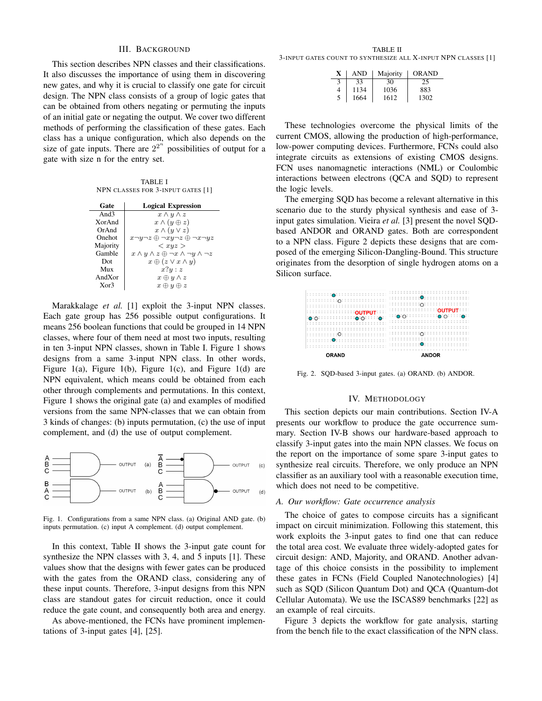## III. BACKGROUND

This section describes NPN classes and their classifications. It also discusses the importance of using them in discovering new gates, and why it is crucial to classify one gate for circuit design. The NPN class consists of a group of logic gates that can be obtained from others negating or permuting the inputs of an initial gate or negating the output. We cover two different methods of performing the classification of these gates. Each class has a unique configuration, which also depends on the size of gate inputs. There are  $2^{2^n}$  possibilities of output for a gate with size n for the entry set.

TABLE I NPN CLASSES FOR 3-INPUT GATES [1]

| Gate      | <b>Logical Expression</b>                                       |
|-----------|-----------------------------------------------------------------|
| And $3$   | $x \wedge y \wedge z$                                           |
| XorAnd    | $x \wedge (y \oplus z)$                                         |
| OrAnd     | $x \wedge (y \vee z)$                                           |
| Onehot    | $x \neg y \neg z \oplus \neg xy \neg z \oplus \neg x \neg yz$   |
| Majority  | $\langle xyz \rangle$                                           |
| Gamble    | $x \wedge y \wedge z \oplus \neg x \wedge \neg y \wedge \neg z$ |
| Dot       | $x \oplus (z \vee x \wedge y)$                                  |
| Mux       | x?y:z                                                           |
| $AndX$ or | $x \oplus y \wedge z$                                           |
| $X$ or 3  | $x \oplus y \oplus z$                                           |

Marakkalage *et al.* [1] exploit the 3-input NPN classes. Each gate group has 256 possible output configurations. It means 256 boolean functions that could be grouped in 14 NPN classes, where four of them need at most two inputs, resulting in ten 3-input NPN classes, shown in Table I. Figure 1 shows designs from a same 3-input NPN class. In other words, Figure 1(a), Figure 1(b), Figure 1(c), and Figure 1(d) are NPN equivalent, which means could be obtained from each other through complements and permutations. In this context, Figure 1 shows the original gate (a) and examples of modified versions from the same NPN-classes that we can obtain from 3 kinds of changes: (b) inputs permutation, (c) the use of input complement, and (d) the use of output complement.



Fig. 1. Configurations from a same NPN class. (a) Original AND gate. (b) inputs permutation. (c) input A complement. (d) output complement.

In this context, Table II shows the 3-input gate count for synthesize the NPN classes with 3, 4, and 5 inputs [1]. These values show that the designs with fewer gates can be produced with the gates from the ORAND class, considering any of these input counts. Therefore, 3-input designs from this NPN class are standout gates for circuit reduction, once it could reduce the gate count, and consequently both area and energy.

As above-mentioned, the FCNs have prominent implementations of 3-input gates [4], [25].

TABLE II 3-INPUT GATES COUNT TO SYNTHESIZE ALL X-INPUT NPN CLASSES [1]

| X | AND  | Majority | <b>ORAND</b> |
|---|------|----------|--------------|
|   | 33   | 30       | 25           |
| 4 | 1134 | 1036     | 883          |
| 5 | 1664 | 1612     | 1302         |

These technologies overcome the physical limits of the current CMOS, allowing the production of high-performance, low-power computing devices. Furthermore, FCNs could also integrate circuits as extensions of existing CMOS designs. FCN uses nanomagnetic interactions (NML) or Coulombic interactions between electrons (QCA and SQD) to represent the logic levels.

The emerging SQD has become a relevant alternative in this scenario due to the sturdy physical synthesis and ease of 3 input gates simulation. Vieira *et al.* [3] present the novel SQDbased ANDOR and ORAND gates. Both are correspondent to a NPN class. Figure 2 depicts these designs that are composed of the emerging Silicon-Dangling-Bound. This structure originates from the desorption of single hydrogen atoms on a Silicon surface.



Fig. 2. SQD-based 3-input gates. (a) ORAND. (b) ANDOR.

## IV. METHODOLOGY

This section depicts our main contributions. Section IV-A presents our workflow to produce the gate occurrence summary. Section IV-B shows our hardware-based approach to classify 3-input gates into the main NPN classes. We focus on the report on the importance of some spare 3-input gates to synthesize real circuits. Therefore, we only produce an NPN classifier as an auxiliary tool with a reasonable execution time, which does not need to be competitive.

## *A. Our workflow: Gate occurrence analysis*

The choice of gates to compose circuits has a significant impact on circuit minimization. Following this statement, this work exploits the 3-input gates to find one that can reduce the total area cost. We evaluate three widely-adopted gates for circuit design: AND, Majority, and ORAND. Another advantage of this choice consists in the possibility to implement these gates in FCNs (Field Coupled Nanotechnologies) [4] such as SQD (Silicon Quantum Dot) and QCA (Quantum-dot Cellular Automata). We use the ISCAS89 benchmarks [22] as an example of real circuits.

Figure 3 depicts the workflow for gate analysis, starting from the bench file to the exact classification of the NPN class.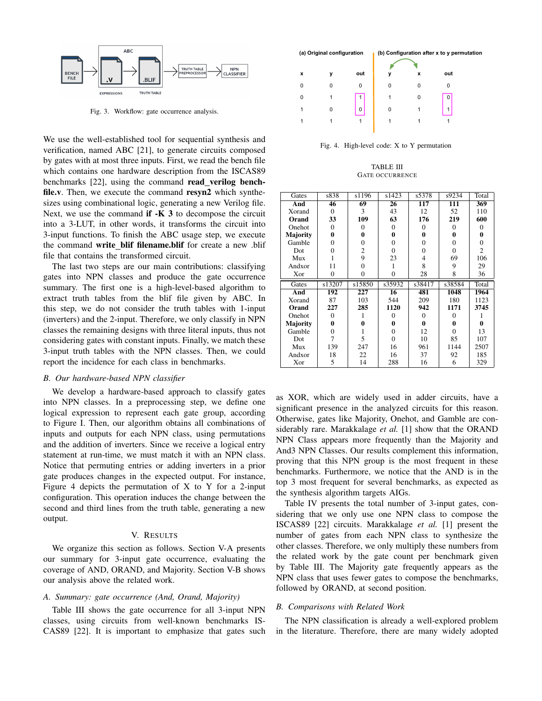

Fig. 3. Workflow: gate occurrence analysis.

We use the well-established tool for sequential synthesis and verification, named ABC [21], to generate circuits composed by gates with at most three inputs. First, we read the bench file which contains one hardware description from the ISCAS89 benchmarks [22], using the command read verilog benchfile.v. Then, we execute the command resyn2 which synthesizes using combinational logic, generating a new Verilog file. Next, we use the command  $if -K 3$  to decompose the circuit into a 3-LUT, in other words, it transforms the circuit into 3-input functions. To finish the ABC usage step, we execute the command write blif filename.blif for create a new .blif file that contains the transformed circuit.

The last two steps are our main contributions: classifying gates into NPN classes and produce the gate occurrence summary. The first one is a high-level-based algorithm to extract truth tables from the blif file given by ABC. In this step, we do not consider the truth tables with 1-input (inverters) and the 2-input. Therefore, we only classify in NPN classes the remaining designs with three literal inputs, thus not considering gates with constant inputs. Finally, we match these 3-input truth tables with the NPN classes. Then, we could report the incidence for each class in benchmarks.

# *B. Our hardware-based NPN classifier*

We develop a hardware-based approach to classify gates into NPN classes. In a preprocessing step, we define one logical expression to represent each gate group, according to Figure I. Then, our algorithm obtains all combinations of inputs and outputs for each NPN class, using permutations and the addition of inverters. Since we receive a logical entry statement at run-time, we must match it with an NPN class. Notice that permuting entries or adding inverters in a prior gate produces changes in the expected output. For instance, Figure 4 depicts the permutation of  $X$  to  $Y$  for a 2-input configuration. This operation induces the change between the second and third lines from the truth table, generating a new output.

## V. RESULTS

We organize this section as follows. Section V-A presents our summary for 3-input gate occurrence, evaluating the coverage of AND, ORAND, and Majority. Section V-B shows our analysis above the related work.

## *A. Summary: gate occurrence (And, Orand, Majority)*

Table III shows the gate occurrence for all 3-input NPN classes, using circuits from well-known benchmarks IS-CAS89 [22]. It is important to emphasize that gates such



Fig. 4. High-level code: X to Y permutation

TABLE III GATE OCCURRENCE

| Gates    | s838           | s1196    | s1423           | s5378               | s9234    | Total    |
|----------|----------------|----------|-----------------|---------------------|----------|----------|
| And      | 46             | 69       | 26              | 117                 | 111      | 369      |
| Xorand   | $\mathbf{0}$   | 3        | 43              | 12                  | 52       | 110      |
| Orand    | 33             | 109      | 63              | 176                 | 219      | 600      |
| Onehot   | $\overline{0}$ | $\Omega$ | $\Omega$        | 0                   | $\Omega$ | $\Omega$ |
| Majority | 0              | 0        | 0               | 0                   | 0        | 0        |
| Gamble   | 0              | 0        | $\Omega$        | 0                   | 0        | $\Omega$ |
| Dot      | 0              | 2        | $\Omega$        | 0                   | $\Omega$ | 2        |
| Mux      | 1              | 9        | 23              | 4                   | 69       | 106      |
| Andxor   | 11             | 0        | 1               | 8                   | 9        | 29       |
| Xor      | 0              | 0        | $\Omega$        | 28                  | 8        | 36       |
|          |                |          |                 |                     |          |          |
| Gates    | s13207         | s15850   | s35932          | $s38\overline{417}$ | s38584   | Total    |
| And      | 192            | 227      | $\overline{16}$ | 481                 | 1048     | 1964     |
| Xorand   | 87             | 103      | 544             | 209                 | 180      | 1123     |
| Orand    | 227            | 285      | 1120            | 942                 | 1171     | 3745     |
| Onehot   | 0              |          | $\Omega$        | 0                   | $\Omega$ |          |
| Majority | 0              | 0        | 0               | 0                   | 0        | 0        |
| Gamble   | $\Omega$       |          | $\Omega$        | 12                  | $\Omega$ | 13       |
| Dot      | 7              | 5        | $\Omega$        | 10                  | 85       | 107      |
| Mux      | 139            | 247      | 16              | 961                 | 1144     | 2507     |
| Andxor   | 18             | 22       | 16              | 37                  | 92       | 185      |

as XOR, which are widely used in adder circuits, have a significant presence in the analyzed circuits for this reason. Otherwise, gates like Majority, Onehot, and Gamble are considerably rare. Marakkalage *et al.* [1] show that the ORAND NPN Class appears more frequently than the Majority and And3 NPN Classes. Our results complement this information, proving that this NPN group is the most frequent in these benchmarks. Furthermore, we notice that the AND is in the top 3 most frequent for several benchmarks, as expected as the synthesis algorithm targets AIGs.

Table IV presents the total number of 3-input gates, considering that we only use one NPN class to compose the ISCAS89 [22] circuits. Marakkalage *et al.* [1] present the number of gates from each NPN class to synthesize the other classes. Therefore, we only multiply these numbers from the related work by the gate count per benchmark given by Table III. The Majority gate frequently appears as the NPN class that uses fewer gates to compose the benchmarks, followed by ORAND, at second position.

#### *B. Comparisons with Related Work*

The NPN classification is already a well-explored problem in the literature. Therefore, there are many widely adopted